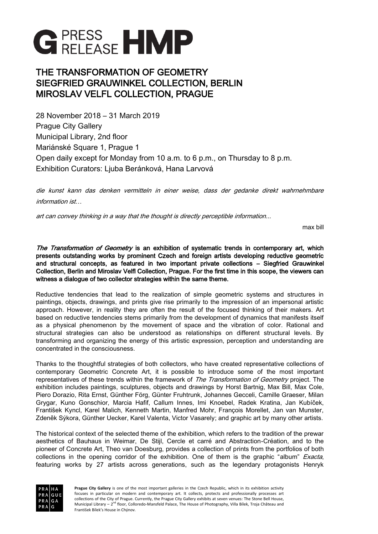

# THE TRANSFORMATION OF GEOMETRY SIEGFRIED GRAUWINKEL COLLECTION, BERLIN MIROSLAV VELFL COLLECTION, PRAGUE

28 November 2018 – 31 March 2019 Prague City Gallery Municipal Library, 2nd floor Mariánské Square 1, Prague 1 Open daily except for Monday from 10 a.m. to 6 p.m., on Thursday to 8 p.m. Exhibition Curators: Ljuba Beránková, Hana Larvová

die kunst kann das denken vermitteln in einer weise, dass der gedanke direkt wahrnehmbare information ist…

art can convey thinking in a way that the thought is directly perceptible information...

max bill

The Transformation of Geometry is an exhibition of systematic trends in contemporary art, which presents outstanding works by prominent Czech and foreign artists developing reductive geometric and structural concepts, as featured in two important private collections – Siegfried Grauwinkel Collection, Berlin and Miroslav Velfl Collection, Prague. For the first time in this scope, the viewers can witness a dialogue of two collector strategies within the same theme.

Reductive tendencies that lead to the realization of simple geometric systems and structures in paintings, objects, drawings, and prints give rise primarily to the impression of an impersonal artistic approach. However, in reality they are often the result of the focused thinking of their makers. Art based on reductive tendencies stems primarily from the development of dynamics that manifests itself as a physical phenomenon by the movement of space and the vibration of color. Rational and structural strategies can also be understood as relationships on different structural levels. By transforming and organizing the energy of this artistic expression, perception and understanding are concentrated in the consciousness.

Thanks to the thoughtful strategies of both collectors, who have created representative collections of contemporary Geometric Concrete Art, it is possible to introduce some of the most important representatives of these trends within the framework of The Transformation of Geometry project. The exhibition includes paintings, sculptures, objects and drawings by Horst Bartnig, Max Bill, Max Cole, Piero Dorazio, Rita Ernst, Günther Förg, Günter Fruhtrunk, Johannes Gecceli, Camille Graeser, Milan Grygar, Kuno Gonschior, Marcia Hafif, Callum Innes, Imi Knoebel, Radek Kratina, Jan Kubíček, František Kyncl, Karel Malich, Kenneth Martin, Manfred Mohr, François Morellet, Jan van Munster, Zdeněk Sýkora, Günther Uecker, Karel Valenta, Victor Vasarely; and graphic art by many other artists.

The historical context of the selected theme of the exhibition, which refers to the tradition of the prewar aesthetics of Bauhaus in Weimar, De Stijl, Cercle et carré and Abstraction-Création, and to the pioneer of Concrete Art, Theo van Doesburg, provides a collection of prints from the portfolios of both collections in the opening corridor of the exhibition. One of them is the graphic "album" *Exacta*, featuring works by 27 artists across generations, such as the legendary protagonists Henryk

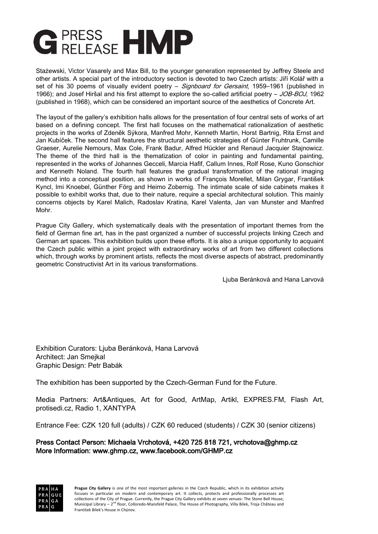

Stażewski, Victor Vasarely and Max Bill, to the younger generation represented by Jeffrey Steele and other artists. A special part of the introductory section is devoted to two Czech artists: Jiří Kolář with a set of his 30 poems of visually evident poetry – *Signboard for Gersaint*, 1959–1961 (published in 1966); and Josef Hiršal and his first attempt to explore the so-called artificial poetry – JOB-BOJ, 1962 (published in 1968), which can be considered an important source of the aesthetics of Concrete Art.

The layout of the gallery's exhibition halls allows for the presentation of four central sets of works of art based on a defining concept. The first hall focuses on the mathematical rationalization of aesthetic projects in the works of Zdeněk Sýkora, Manfred Mohr, Kenneth Martin, Horst Bartnig, Rita Ernst and Jan Kubíček. The second hall features the structural aesthetic strategies of Günter Fruhtrunk, Camille Graeser, Aurelie Nemours, Max Cole, Frank Badur, Alfred Hückler and Renaud Jacquier Stajnowicz. The theme of the third hall is the thematization of color in painting and fundamental painting, represented in the works of Johannes Gecceli, Marcia Hafif, Callum Innes, Rolf Rose, Kuno Gonschior and Kenneth Noland. The fourth hall features the gradual transformation of the rational imaging method into a conceptual position, as shown in works of François Morellet, Milan Grygar, František Kyncl, Imi Knoebel, Günther Förg and Heimo Zobernig. The intimate scale of side cabinets makes it possible to exhibit works that, due to their nature, require a special architectural solution. This mainly concerns objects by Karel Malich, Radoslav Kratina, Karel Valenta, Jan van Munster and Manfred Mohr.

Prague City Gallery, which systematically deals with the presentation of important themes from the field of German fine art, has in the past organized a number of successful projects linking Czech and German art spaces. This exhibition builds upon these efforts. It is also a unique opportunity to acquaint the Czech public within a joint project with extraordinary works of art from two different collections which, through works by prominent artists, reflects the most diverse aspects of abstract, predominantly geometric Constructivist Art in its various transformations.

Ljuba Beránková and Hana Larvová

Exhibition Curators: Ljuba Beránková, Hana Larvová Architect: Jan Smejkal Graphic Design: Petr Babák

The exhibition has been supported by the Czech-German Fund for the Future.

Media Partners: Art&Antiques, Art for Good, ArtMap, Artikl, EXPRES.FM, Flash Art, protisedi.cz, Radio 1, XANTYPA

Entrance Fee: CZK 120 full (adults) / CZK 60 reduced (students) / CZK 30 (senior citizens)

Press Contact Person: Michaela Vrchotová, +420 725 818 721, [vrchotova@ghmp.cz](mailto:vrchotova@ghmp.cz)  More Information: [www.ghmp.cz,](http://www.ghmp.cz/) [www.facebook.com/GHMP.cz](http://www.facebook.com/GHMP.cz) 

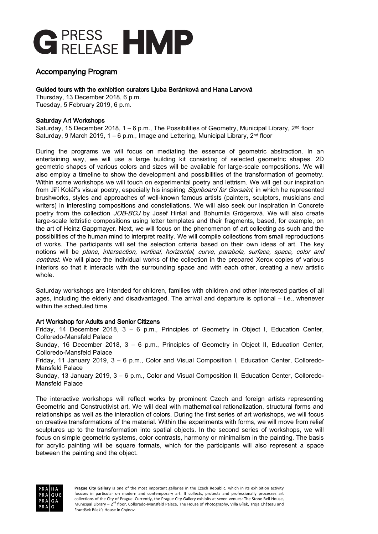

## Accompanying Program

#### Guided tours with the exhibition curators Ljuba Beránková and Hana Larvová

Thursday, 13 December 2018, 6 p.m. Tuesday, 5 February 2019, 6 p.m.

#### Saturday Art Workshops

Saturday, 15 December 2018,  $1 - 6$  p.m., The Possibilities of Geometry, Municipal Library,  $2<sup>nd</sup>$  floor Saturday, 9 March 2019,  $1 - 6$  p.m., Image and Lettering, Municipal Library,  $2<sup>nd</sup>$  floor

During the programs we will focus on mediating the essence of geometric abstraction. In an entertaining way, we will use a large building kit consisting of selected geometric shapes. 2D geometric shapes of various colors and sizes will be available for large-scale compositions. We will also employ a timeline to show the development and possibilities of the transformation of geometry. Within some workshops we will touch on experimental poetry and lettrism. We will get our inspiration from Jiří Kolář's visual poetry, especially his inspiring *Signboard for Gersaint*, in which he represented brushworks, styles and approaches of well-known famous artists (painters, sculptors, musicians and writers) in interesting compositions and constellations. We will also seek our inspiration in Concrete poetry from the collection JOB-BOJ by Josef Hiršal and Bohumila Grögerová. We will also create large-scale lettristic compositions using letter templates and their fragments, based, for example, on the art of Heinz Gappmayer. Next, we will focus on the phenomenon of art collecting as such and the possibilities of the human mind to interpret reality. We will compile collections from small reproductions of works. The participants will set the selection criteria based on their own ideas of art. The key notions will be plane, intersection, vertical, horizontal, curve, parabola, surface, space, color and contrast. We will place the individual works of the collection in the prepared Xerox copies of various interiors so that it interacts with the surrounding space and with each other, creating a new artistic whole.

Saturday workshops are intended for children, families with children and other interested parties of all ages, including the elderly and disadvantaged. The arrival and departure is optional – i.e., whenever within the scheduled time.

### Art Workshop for Adults and Senior Citizens

Friday, 14 December 2018, 3 – 6 p.m., Principles of Geometry in Object I, Education Center, Colloredo-Mansfeld Palace Sunday, 16 December 2018, 3 – 6 p.m., Principles of Geometry in Object II, Education Center, Colloredo-Mansfeld Palace Friday, 11 January 2019, 3 – 6 p.m., Color and Visual Composition I, Education Center, Colloredo-Mansfeld Palace Sunday, 13 January 2019, 3 – 6 p.m., Color and Visual Composition II, Education Center, Colloredo-Mansfeld Palace

The interactive workshops will reflect works by prominent Czech and foreign artists representing Geometric and Constructivist art. We will deal with mathematical rationalization, structural forms and relationships as well as the interaction of colors. During the first series of art workshops, we will focus on creative transformations of the material. Within the experiments with forms, we will move from relief sculptures up to the transformation into spatial objects. In the second series of workshops, we will focus on simple geometric systems, color contrasts, harmony or minimalism in the painting. The basis for acrylic painting will be square formats, which for the participants will also represent a space between the painting and the object.